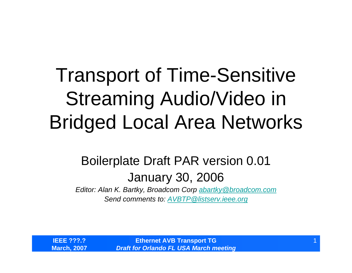## Transport of Time-Sensitive Streaming Audio/Video in Bridged Local Area Networks

#### Boilerplate Draft PAR version 0.01 January 30, 2006

*Editor: Alan K. Bartky, Broadcom Corp [abartky@broadcom.com](mailto:abartky@broadcom.com) Send comments to: [AVBTP@listserv.ieee.org](mailto:AVBTP@listserv.ieee.org)*

**IEEE ???.?March, 2007**

**Ethernet AVB Transport TG** *Draft for Orlando FL USA March meeting*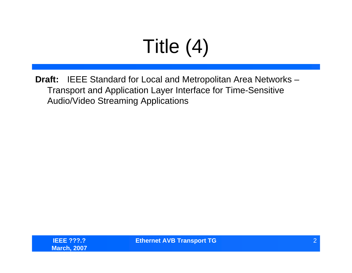# Title (4)

**Draft:** IEEE Standard for Local and Metropolitan Area Networks – Transport and Application Layer Interface for Time-Sensitive Audio/Video Streaming Applications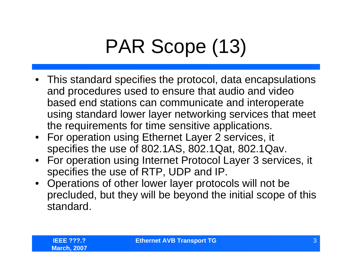## PAR Scope (13)

- This standard specifies the protocol, data encapsulations and procedures used to ensure that audio and video based end stations can communicate and interoperate using standard lower layer networking services that meet the requirements for time sensitive applications.
- For operation using Ethernet Layer 2 services, it specifies the use of 802.1AS, 802.1Qat, 802.1Qav.
- For operation using Internet Protocol Layer 3 services, it specifies the use of RTP, UDP and IP.
- Operations of other lower layer protocols will not be precluded, but they will be beyond the initial scope of this standard.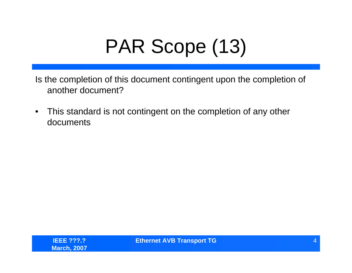## PAR Scope (13)

Is the completion of this document contingent upon the completion of another document?

• This standard is not contingent on the completion of any other documents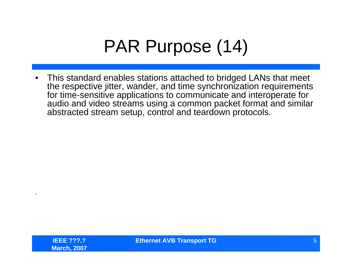### PAR Purpose (14)

• This standard enables stations attached to bridged LANs that meet the respective jitter, wander, and time synchronization requirements for time-sensitive applications to communicate and interoperate for audio and video streams using a common packet format and similar abstracted stream setup, control and teardown protocols.

.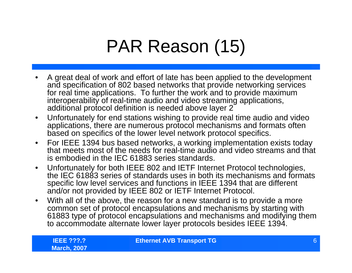### PAR Reason (15)

- • A great deal of work and effort of late has been applied to the development and specification of 802 based networks that provide networking services for real time applications. To further the work and to provide maximum interoperability of real-time audio and video streaming applications, additional protocol definition is needed above layer 2
- $\bullet$  Unfortunately for end stations wishing to provide real time audio and video applications, there are numerous protocol mechanisms and formats often based on specifics of the lower level network protocol specifics.
- • For IEEE 1394 bus based networks, a working implementation exists today that meets most of the needs for real-time audio and video streams and that is embodied in the IEC 61883 series standards.
- $\bullet$  Unfortunately for both IEEE 802 and IETF Internet Protocol technologies, the IEC 61883 series of standards uses in both its mechanisms and formats specific low level services and functions in IEEE 1394 that are different and/or not provided by IEEE 802 or IETF Internet Protocol.
- $\bullet$  With all of the above, the reason for a new standard is to provide a more common set of protocol encapsulations and mechanisms by starting with 61883 type of protocol encapsulations and mechanisms and modifying them to accommodate alternate lower layer protocols besides IEEE 1394.